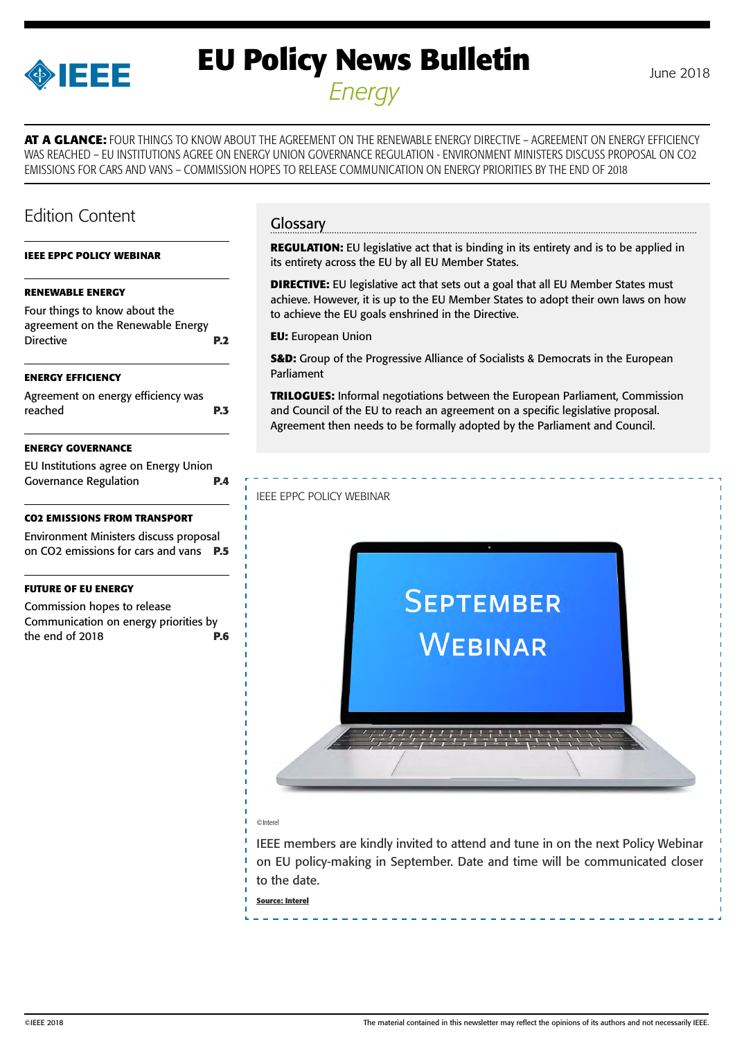<span id="page-0-0"></span>

# **EU Policy News Bulletin** June 2018 *Energy*

**AT A GLANCE:** FOUR THINGS TO KNOW ABOUT THE AGREEMENT ON THE RENEWABLE ENERGY DIRECTIVE – AGREEMENT ON ENERGY EFFICIENCY WAS REACHED – EU INSTITUTIONS AGREE ON ENERGY UNION GOVERNANCE REGULATION - ENVIRONMENT MINISTERS DISCUSS PROPOSAL ON CO2 EMISSIONS FOR CARS AND VANS – COMMISSION HOPES TO RELEASE COMMUNICATION ON ENERGY PRIORITIES BY THE END OF 2018

# Edition Content

#### **IEEE EPPC POLICY WEBINAR**

#### **[RENEWABLE ENERGY](#page-1-0)**

[Four things to know about the](#page-1-0)  [agreement on the Renewable Energy](#page-1-0)  [Directive](#page-1-0) **P.2**

#### **[ENERGY EFFICIENCY](#page-2-0)**

[Agreement on energy efficiency was](#page-2-0)  [reached](#page-2-0) **P.3**

#### **[ENERGY GOVERNANCE](#page-3-0)**

| EU Institutions agree on Energy Union |            |
|---------------------------------------|------------|
| <b>Governance Regulation</b>          | <b>P.4</b> |

#### **[CO2 EMISSIONS FROM TRANSPORT](#page-4-0)**

[Environment Ministers discuss proposal](#page-4-0)  [on CO2 emissions for cars and vans](#page-4-0) **P.5**

#### **[FUTURE OF EU ENERGY](#page-5-0)**

[Commission hopes to release](#page-5-0)  [Communication on energy priorities by](#page-5-0)  [the end of 2018](#page-5-0) **P.6**

# Glossary

**REGULATION:** EU legislative act that is binding in its entirety and is to be applied in its entirety across the EU by all EU Member States.

**DIRECTIVE:** EU legislative act that sets out a goal that all EU Member States must achieve. However, it is up to the EU Member States to adopt their own laws on how to achieve the EU goals enshrined in the Directive.

**EU:** European Union

**S&D:** Group of the Progressive Alliance of Socialists & Democrats in the European Parliament

**TRILOGUES:** Informal negotiations between the European Parliament, Commission and Council of the EU to reach an agreement on a specific legislative proposal. Agreement then needs to be formally adopted by the Parliament and Council.

#### IEEE EPPC POLICY WEBINAR



#### ©Interel

IEEE members are kindly invited to attend and tune in on the next Policy Webinar on EU policy-making in September. Date and time will be communicated closer to the date.

**Source: Interel**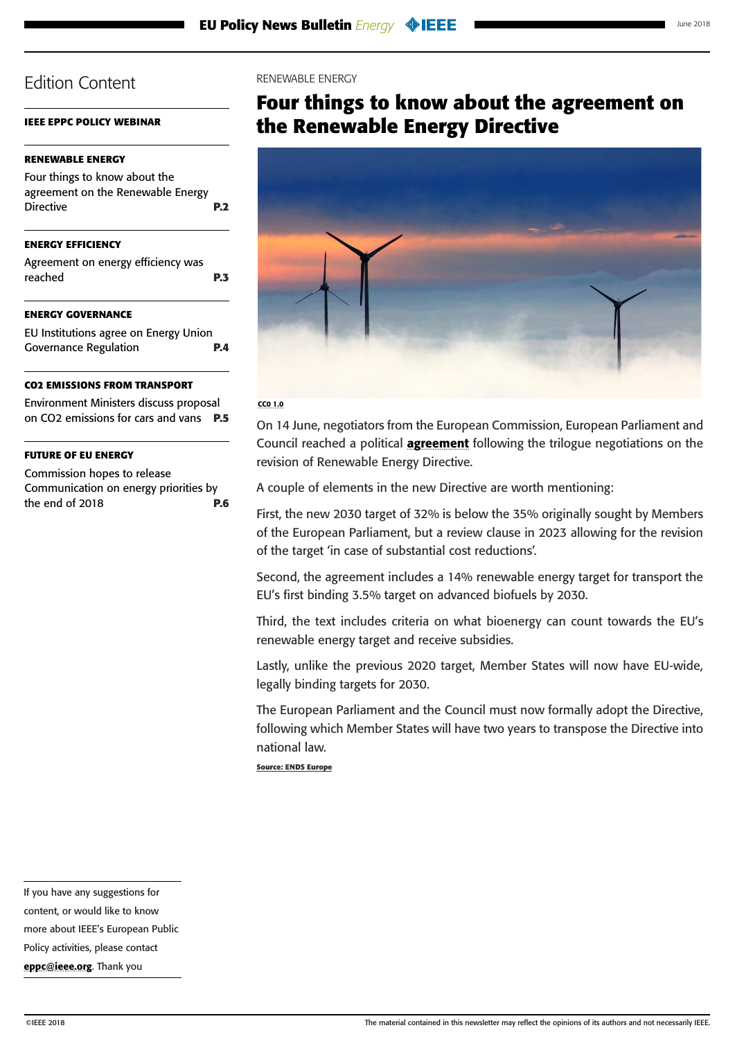# <span id="page-1-0"></span>**[IEEE EPPC POLICY WEBINAR](#page-0-0)**

# **RENEWABLE ENERGY**

| <b>ENERGY EFFICIENCY</b>                                                               |                |
|----------------------------------------------------------------------------------------|----------------|
| Four things to know about the<br>agreement on the Renewable Energy<br><b>Directive</b> | P <sub>2</sub> |
|                                                                                        |                |

[Agreement on energy efficiency was](#page-2-0)  [reached](#page-2-0) **P.3**

## **[ENERGY GOVERNANCE](#page-3-0)**

| EU Institutions agree on Energy Union |            |
|---------------------------------------|------------|
| <b>Governance Regulation</b>          | <b>P.4</b> |

### **[CO2 EMISSIONS FROM TRANSPORT](#page-4-0)**

[Environment Ministers discuss proposal](#page-4-0)  [on CO2 emissions for cars and vans](#page-4-0) **P.5**

## **[FUTURE OF EU ENERGY](#page-5-0)**

[Commission hopes to release](#page-5-0)  [Communication on energy priorities by](#page-5-0)  [the end of 2018](#page-5-0) **P.6**

### RENEWABLE ENERGY

# **Four things to know about the agreement on the Renewable Energy Directive**



#### CC0 1.0

On 14 June, negotiators from the European Commission, European Parliament and Council reached a political **[agreement](http://data.consilium.europa.eu/doc/document/ST-10308-2018-INIT/en/pdf)** following the trilogue negotiations on the revision of Renewable Energy Directive.

A couple of elements in the new Directive are worth mentioning:

First, the new 2030 target of 32% is below the 35% originally sought by Members of the European Parliament, but a review clause in 2023 allowing for the revision of the target 'in case of substantial cost reductions'.

Second, the agreement includes a 14% renewable energy target for transport the EU's first binding 3.5% target on advanced biofuels by 2030.

Third, the text includes criteria on what bioenergy can count towards the EU's renewable energy target and receive subsidies.

Lastly, unlike the previous 2020 target, Member States will now have EU-wide, legally binding targets for 2030.

The European Parliament and the Council must now formally adopt the Directive, following which Member States will have two years to transpose the Directive into national law.

**Source: ENDS Europe**

If you have any suggestions for content, or would like to know

more about IEEE's European Public

Policy activities, please contact [eppc@ieee.org](mailto:eppc%40ieee.org?subject=). Thank you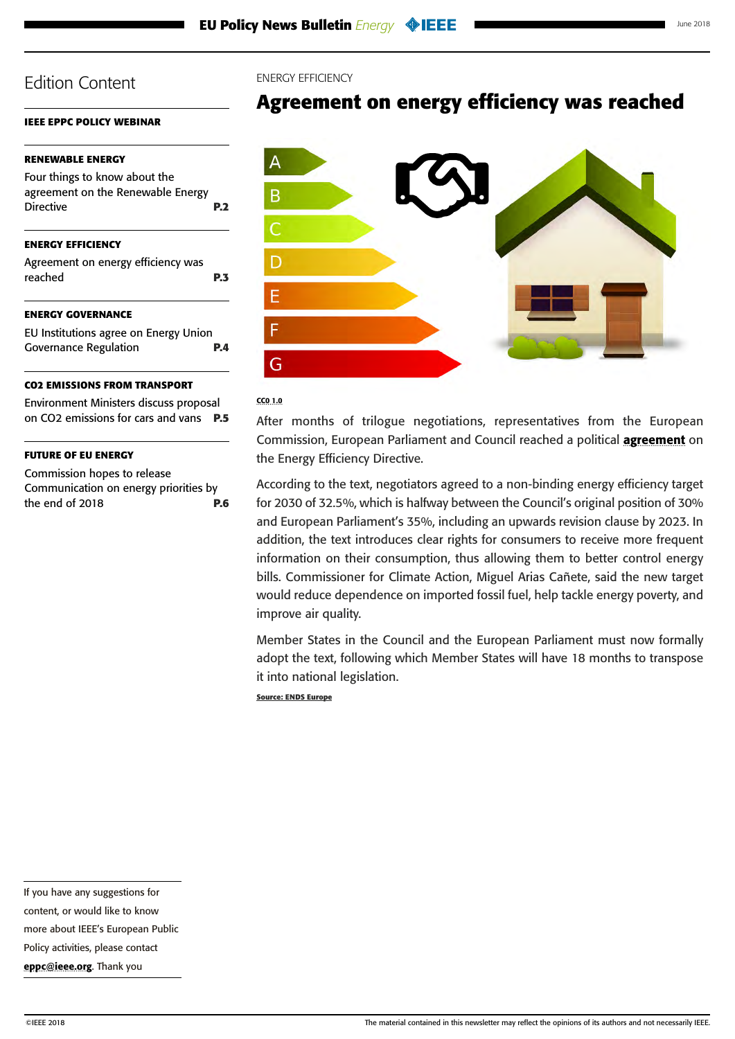# <span id="page-2-0"></span>**[IEEE EPPC POLICY WEBINAR](#page-0-0)**

# **[RENEWABLE ENERGY](#page-1-0)**

| REREWADEL ERERT                                                                        |            | $\mathcal{A}_{\mathcal{A}}$ |  |
|----------------------------------------------------------------------------------------|------------|-----------------------------|--|
| Four things to know about the<br>agreement on the Renewable Energy<br><b>Directive</b> | <b>P.2</b> | B                           |  |
| <b>ENERGY EFFICIENCY</b><br>Agreement on energy efficiency was<br>reached              | <b>P.3</b> |                             |  |
| <b>ENERGY GOVERNANCE</b>                                                               |            |                             |  |
| EU Institutions agree on Energy Union                                                  |            |                             |  |
|                                                                                        |            |                             |  |

# [Governance Regulation](#page-3-0) **P.4**

# **[CO2 EMISSIONS FROM TRANSPORT](#page-4-0)**

[Environment Ministers discuss proposal](#page-4-0)  [on CO2 emissions for cars and vans](#page-4-0) **P.5**

## **[FUTURE OF EU ENERGY](#page-5-0)**

[Commission hopes to release](#page-5-0)  [Communication on energy priorities by](#page-5-0)  [the end of 2018](#page-5-0) **P.6**

#### ENERGY EFFICIENCY

# **Agreement on energy efficiency was reached**



#### CC0 1.0

After months of trilogue negotiations, representatives from the European Commission, European Parliament and Council reached a political [agreement](http://europa.eu/rapid/press-release_STATEMENT-18-3997_en.htm) on the Energy Efficiency Directive.

According to the text, negotiators agreed to a non-binding energy efficiency target for 2030 of 32.5%, which is halfway between the Council's original position of 30% and European Parliament's 35%, including an upwards revision clause by 2023. In addition, the text introduces clear rights for consumers to receive more frequent information on their consumption, thus allowing them to better control energy bills. Commissioner for Climate Action, Miguel Arias Cañete, said the new target would reduce dependence on imported fossil fuel, help tackle energy poverty, and improve air quality.

Member States in the Council and the European Parliament must now formally adopt the text, following which Member States will have 18 months to transpose it into national legislation.

**Source: ENDS Europe**

If you have any suggestions for

content, or would like to know

more about IEEE's European Public

Policy activities, please contact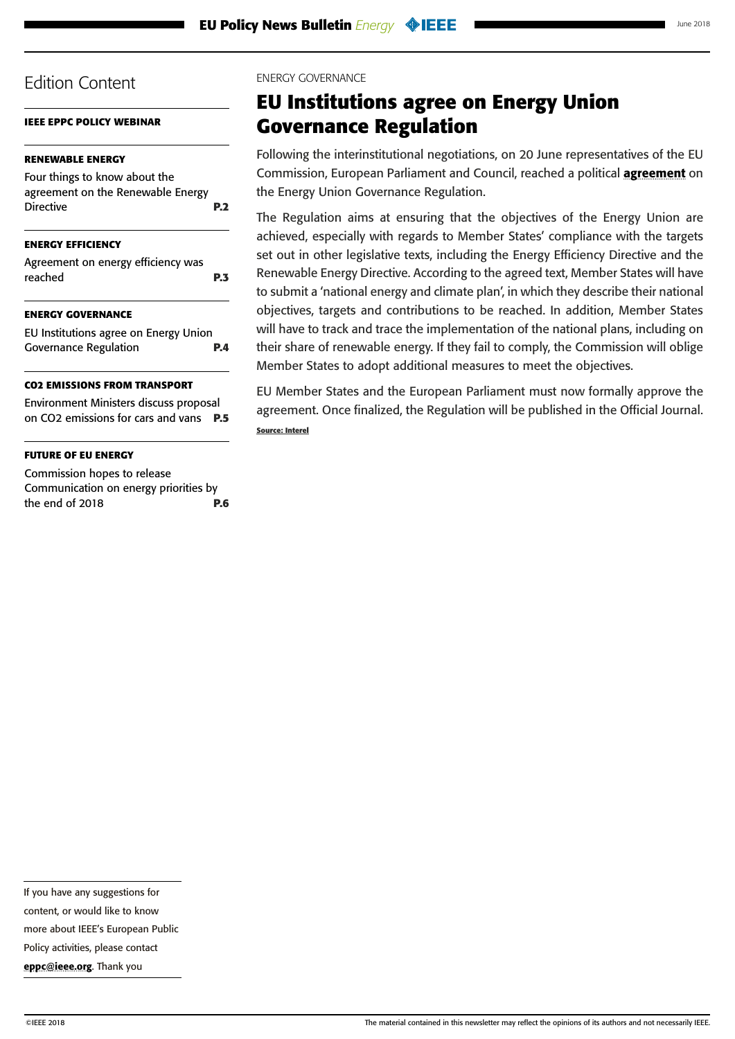<span id="page-3-0"></span>**[IEEE EPPC POLICY WEBINAR](#page-0-0)**

# **[RENEWABLE ENERGY](#page-1-0)**

| Four things to know about the     |            |
|-----------------------------------|------------|
| agreement on the Renewable Energy |            |
| <b>Directive</b>                  | <b>P.2</b> |
|                                   |            |

# **[ENERGY EFFICIENCY](#page-2-0)**

| Agreement on energy efficiency was |            |
|------------------------------------|------------|
| reached                            | <b>P.3</b> |

## **ENERGY GOVERNANCE**

| EU Institutions agree on Energy Union |            |
|---------------------------------------|------------|
| <b>Governance Regulation</b>          | <b>P.4</b> |

# **[CO2 EMISSIONS FROM TRANSPORT](#page-4-0)**

[Environment Ministers discuss proposal](#page-4-0)  [on CO2 emissions for cars and vans](#page-4-0) **P.5**

# **[FUTURE OF EU ENERGY](#page-5-0)**

[Commission hopes to release](#page-5-0)  [Communication on energy priorities by](#page-5-0)  [the end of 2018](#page-5-0) **P.6**

### ENERGY GOVERNANCE

# **EU Institutions agree on Energy Union Governance Regulation**

Following the interinstitutional negotiations, on 20 June representatives of the EU Commission, European Parliament and Council, reached a political [agreement](http://data.consilium.europa.eu/doc/document/ST-10307-2018-ADD-1/en/pdf) on the Energy Union Governance Regulation.

The Regulation aims at ensuring that the objectives of the Energy Union are achieved, especially with regards to Member States' compliance with the targets set out in other legislative texts, including the Energy Efficiency Directive and the Renewable Energy Directive. According to the agreed text, Member States will have to submit a 'national energy and climate plan', in which they describe their national objectives, targets and contributions to be reached. In addition, Member States will have to track and trace the implementation of the national plans, including on their share of renewable energy. If they fail to comply, the Commission will oblige Member States to adopt additional measures to meet the objectives.

EU Member States and the European Parliament must now formally approve the agreement. Once finalized, the Regulation will be published in the Official Journal. **Source: Interel**

If you have any suggestions for

content, or would like to know

more about IEEE's European Public

Policy activities, please contact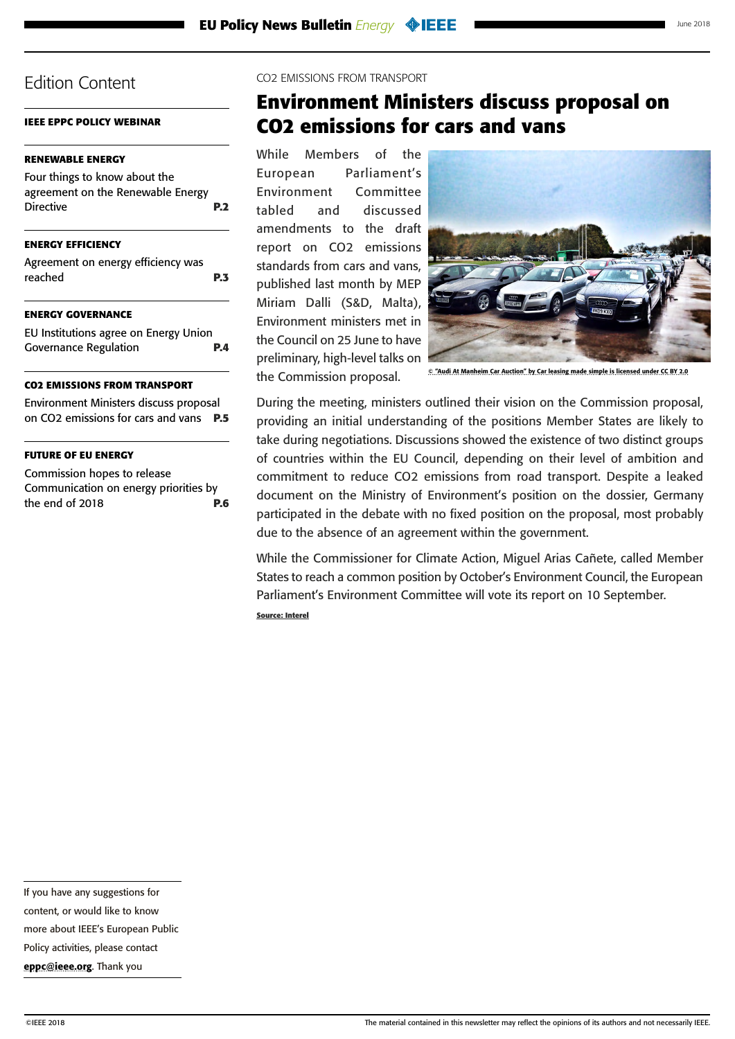<span id="page-4-0"></span>**[IEEE EPPC POLICY WEBINAR](#page-0-0)**

# **[RENEWABLE ENERGY](#page-1-0)**

| Four things to know about the     |            |
|-----------------------------------|------------|
| agreement on the Renewable Energy |            |
| <b>Directive</b>                  | <b>P.2</b> |
|                                   |            |

# **[ENERGY EFFICIENCY](#page-2-0)**

| Agreement on energy efficiency was |            |
|------------------------------------|------------|
| reached                            | <b>P.3</b> |

## **[ENERGY GOVERNANCE](#page-3-0)**

| EU Institutions agree on Energy Union |            |
|---------------------------------------|------------|
| <b>Governance Regulation</b>          | <b>P.4</b> |

# **CO2 EMISSIONS FROM TRANSPORT**

Environment Ministers discuss proposal on CO2 emissions for cars and vans **P.5**

# **[FUTURE OF EU ENERGY](#page-5-0)**

[Commission hopes to release](#page-5-0)  [Communication on energy priorities by](#page-5-0)  [the end of 2018](#page-5-0) **P.6** CO2 EMISSIONS FROM TRANSPORT

# **Environment Ministers discuss proposal on CO2 emissions for cars and vans**

While Members of the European Parliament's Environment Committee tabled and discussed amendments to the draft report on CO2 emissions standards from cars and vans, published last month by MEP Miriam Dalli (S&D, Malta), Environment ministers met in the Council on 25 June to have preliminary, high-level talks on the Commission proposal.



© "Audi At Manheim Car Auction" by Car leasing made simple is licensed under CC BY 2.0

During the meeting, ministers outlined their vision on the Commission proposal, providing an initial understanding of the positions Member States are likely to take during negotiations. Discussions showed the existence of two distinct groups of countries within the EU Council, depending on their level of ambition and commitment to reduce CO2 emissions from road transport. Despite a leaked document on the Ministry of Environment's position on the dossier, Germany participated in the debate with no fixed position on the proposal, most probably due to the absence of an agreement within the government.

While the Commissioner for Climate Action, Miguel Arias Cañete, called Member States to reach a common position by October's Environment Council, the European Parliament's Environment Committee will vote its report on 10 September.

**Source: Interel**

If you have any suggestions for

content, or would like to know

more about IEEE's European Public

Policy activities, please contact